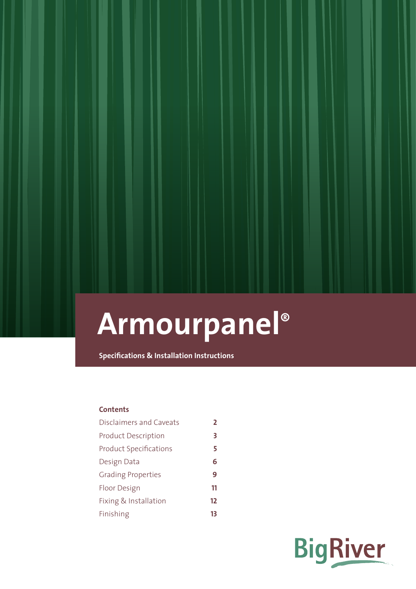**Specifications & Installation Instructions**

## **Contents**

| <b>Disclaimers and Caveats</b> | 2  |
|--------------------------------|----|
| <b>Product Description</b>     | 3  |
| <b>Product Specifications</b>  | 5  |
| Design Data                    | 6  |
| <b>Grading Properties</b>      | 9  |
| Floor Design                   | 11 |
| Fixing & Installation          | 12 |
| Finishing                      | 13 |

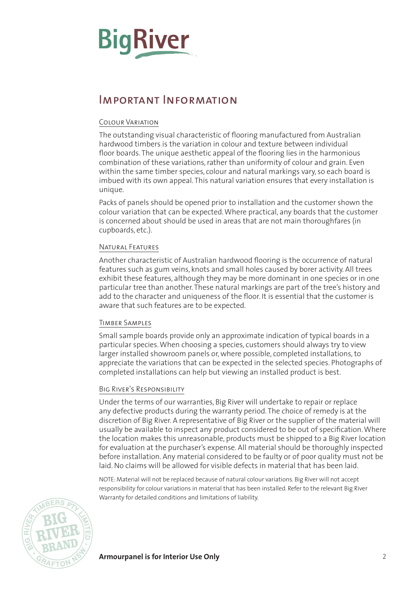# <span id="page-1-0"></span>**BigRiver**

# Important Information

## Colour Variation

The outstanding visual characteristic of flooring manufactured from Australian hardwood timbers is the variation in colour and texture between individual floor boards. The unique aesthetic appeal of the flooring lies in the harmonious combination of these variations, rather than uniformity of colour and grain. Even within the same timber species, colour and natural markings vary, so each board is imbued with its own appeal. This natural variation ensures that every installation is unique.

Packs of panels should be opened prior to installation and the customer shown the colour variation that can be expected. Where practical, any boards that the customer is concerned about should be used in areas that are not main thoroughfares (in cupboards, etc.).

## Natural Features

Another characteristic of Australian hardwood flooring is the occurrence of natural features such as gum veins, knots and small holes caused by borer activity. All trees exhibit these features, although they may be more dominant in one species or in one particular tree than another. These natural markings are part of the tree's history and add to the character and uniqueness of the floor. It is essential that the customer is aware that such features are to be expected.

## Timber Samples

Small sample boards provide only an approximate indication of typical boards in a particular species. When choosing a species, customers should always try to view larger installed showroom panels or, where possible, completed installations, to appreciate the variations that can be expected in the selected species. Photographs of completed installations can help but viewing an installed product is best.

## Big River's Responsibility

Under the terms of our warranties, Big River will undertake to repair or replace any defective products during the warranty period. The choice of remedy is at the discretion of Big River. A representative of Big River or the supplier of the material will usually be available to inspect any product considered to be out of specification. Where the location makes this unreasonable, products must be shipped to a Big River location for evaluation at the purchaser's expense. All material should be thoroughly inspected before installation. Any material considered to be faulty or of poor quality must not be laid. No claims will be allowed for visible defects in material that has been laid.

NOTE: Material will not be replaced because of natural colour variations. Big River will not accept responsibility for colour variations in material that has been installed. Refer to the relevant Big River Warranty for detailed conditions and limitations of liability.



**Armourpanel is for Interior Use Only** 2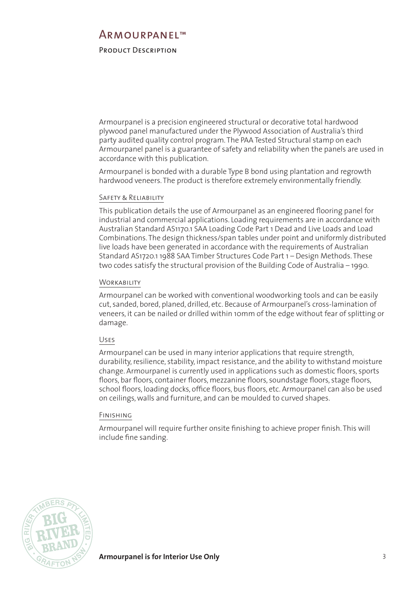## <span id="page-2-0"></span>Product Description

Armourpanel is a precision engineered structural or decorative total hardwood plywood panel manufactured under the Plywood Association of Australia's third party audited quality control program. The PAA Tested Structural stamp on each Armourpanel panel is a guarantee of safety and reliability when the panels are used in accordance with this publication.

Armourpanel is bonded with a durable Type B bond using plantation and regrowth hardwood veneers. The product is therefore extremely environmentally friendly.

## Safety & Reliability

This publication details the use of Armourpanel as an engineered flooring panel for industrial and commercial applications. Loading requirements are in accordance with Australian Standard AS1170.1 SAA Loading Code Part 1 Dead and Live Loads and Load Combinations. The design thickness/span tables under point and uniformly distributed live loads have been generated in accordance with the requirements of Australian Standard AS1720.1 1988 SAA Timber Structures Code Part 1 – Design Methods. These two codes satisfy the structural provision of the Building Code of Australia – 1990.

## **WORKABILITY**

Armourpanel can be worked with conventional woodworking tools and can be easily cut, sanded, bored, planed, drilled, etc. Because of Armourpanel's cross-lamination of veneers, it can be nailed or drilled within 10mm of the edge without fear of splitting or damage.

## Uses

Armourpanel can be used in many interior applications that require strength, durability, resilience, stability, impact resistance, and the ability to withstand moisture change. Armourpanel is currently used in applications such as domestic floors, sports floors, bar floors, container floors, mezzanine floors, soundstage floors, stage floors, school floors, loading docks, office floors, bus floors, etc. Armourpanel can also be used on ceilings, walls and furniture, and can be moulded to curved shapes.

## Finishing

Armourpanel will require further onsite finishing to achieve proper finish. This will include fine sanding.

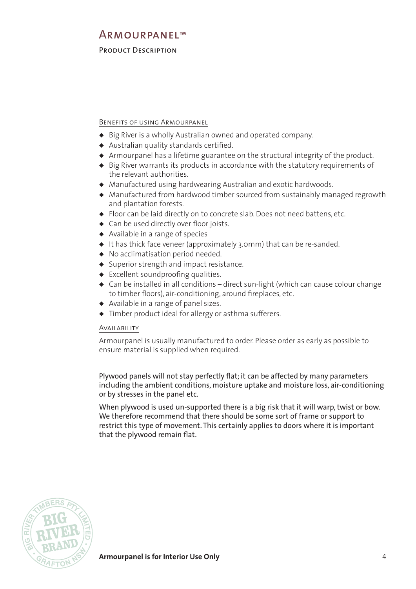## Product Description

## Benefits of using Armourpanel

- ◆ Big River is a wholly Australian owned and operated company.
- ◆ Australian quality standards certified.
- ◆ Armourpanel has a lifetime guarantee on the structural integrity of the product.
- ◆ Big River warrants its products in accordance with the statutory requirements of the relevant authorities.
- ◆ Manufactured using hardwearing Australian and exotic hardwoods.
- ◆ Manufactured from hardwood timber sourced from sustainably managed regrowth and plantation forests.
- ◆ Floor can be laid directly on to concrete slab. Does not need battens, etc.
- ◆ Can be used directly over floor joists.
- ◆ Available in a range of species
- ◆ It has thick face veneer (approximately 3.0mm) that can be re-sanded.
- ◆ No acclimatisation period needed.
- ◆ Superior strength and impact resistance.
- ◆ Excellent soundproofing qualities.
- ◆ Can be installed in all conditions direct sun-light (which can cause colour change to timber floors), air-conditioning, around fireplaces, etc.
- ◆ Available in a range of panel sizes.
- ◆ Timber product ideal for allergy or asthma sufferers.

## Availability

Armourpanel is usually manufactured to order. Please order as early as possible to ensure material is supplied when required.

Plywood panels will not stay perfectly flat; it can be affected by many parameters including the ambient conditions, moisture uptake and moisture loss, air-conditioning or by stresses in the panel etc.

When plywood is used un-supported there is a big risk that it will warp, twist or bow. We therefore recommend that there should be some sort of frame or support to restrict this type of movement. This certainly applies to doors where it is important that the plywood remain flat.

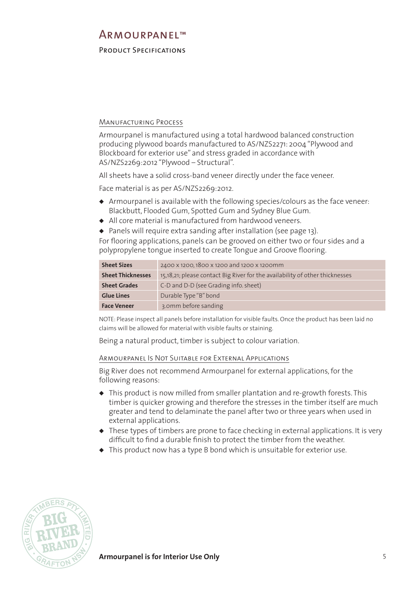## <span id="page-4-0"></span>Product Specifications

## Manufacturing Process

Armourpanel is manufactured using a total hardwood balanced construction producing plywood boards manufactured to AS/NZS2271: 2004 "Plywood and Blockboard for exterior use" and stress graded in accordance with AS/NZS2269:2012 "Plywood – Structural".

All sheets have a solid cross-band veneer directly under the face veneer.

Face material is as per AS/NZS2269:2012.

- ◆ Armourpanel is available with the following species/colours as the face veneer: Blackbutt, Flooded Gum, Spotted Gum and Sydney Blue Gum.
- ◆ All core material is manufactured from hardwood veneers.

◆ Panels will require extra sanding after installation (see page 13). For flooring applications, panels can be grooved on either two or four sides and a

polypropylene tongue inserted to create Tongue and Groove flooring.

| <b>Sheet Sizes</b>       | 2400 x 1200, 1800 x 1200 and 1200 x 1200mm                                   |
|--------------------------|------------------------------------------------------------------------------|
| <b>Sheet Thicknesses</b> | 15,18,21; please contact Big River for the availability of other thicknesses |
| <b>Sheet Grades</b>      | C-D and D-D (see Grading info. sheet)                                        |
| <b>Glue Lines</b>        | Durable Type "B" bond                                                        |
| <b>Face Veneer</b>       | 3.0mm before sanding                                                         |

NOTE: Please inspect all panels before installation for visible faults. Once the product has been laid no claims will be allowed for material with visible faults or staining.

Being a natural product, timber is subject to colour variation.

#### Armourpanel Is Not Suitable for External Applications

Big River does not recommend Armourpanel for external applications, for the following reasons:

- ◆ This product is now milled from smaller plantation and re-growth forests. This timber is quicker growing and therefore the stresses in the timber itself are much greater and tend to delaminate the panel after two or three years when used in external applications.
- ◆ These types of timbers are prone to face checking in external applications. It is very difficult to find a durable finish to protect the timber from the weather.
- ◆ This product now has a type B bond which is unsuitable for exterior use.

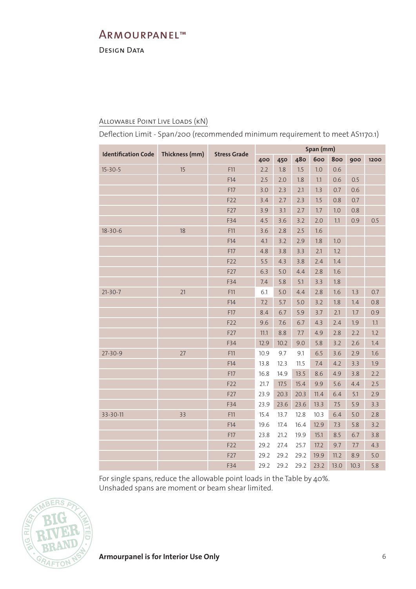<span id="page-5-0"></span>DESIGN DATA

## Allowable Point Live Loads (kN)

Deflection Limit - Span/200 (recommended minimum requirement to meet AS1170.1)

| <b>Identification Code</b> | Thickness (mm) | <b>Stress Grade</b> | Span (mm) |      |      |      |      |      |      |
|----------------------------|----------------|---------------------|-----------|------|------|------|------|------|------|
|                            |                |                     | 400       | 450  | 480  | 600  | 800  | 900  | 1200 |
| $15 - 30 - 5$              | 15             | F11                 | 2.2       | 1.8  | 1.5  | 1.0  | 0.6  |      |      |
|                            |                | F14                 | 2.5       | 2.0  | 1.8  | 1.1  | 0.6  | 0.5  |      |
|                            |                | F17                 | 3.0       | 2.3  | 2.1  | 1.3  | 0.7  | 0.6  |      |
|                            |                | F22                 | 3.4       | 2.7  | 2.3  | 1.5  | 0.8  | 0.7  |      |
|                            |                | F27                 | 3.9       | 3.1  | 2.7  | 1.7  | 1.0  | 0.8  |      |
|                            |                | F34                 | 4.5       | 3.6  | 3.2  | 2.0  | 1.1  | 0.9  | 0.5  |
| $18 - 30 - 6$              | 18             | F11                 | 3.6       | 2.8  | 2.5  | 1.6  |      |      |      |
|                            |                | F14                 | 4.1       | 3.2  | 2.9  | 1.8  | 1.0  |      |      |
|                            |                | F17                 | 4.8       | 3.8  | 3.3  | 2.1  | 1.2  |      |      |
|                            |                | F22                 | 5.5       | 4.3  | 3.8  | 2.4  | 1.4  |      |      |
|                            |                | F27                 | 6.3       | 5.0  | 4.4  | 2.8  | 1.6  |      |      |
|                            |                | F34                 | 7.4       | 5.8  | 5.1  | 3.3  | 1.8  |      |      |
| $21 - 30 - 7$              | 21             | F11                 | 6.1       | 5.0  | 4.4  | 2.8  | 1.6  | 1.3  | 0.7  |
|                            |                | F14                 | 7.2       | 5.7  | 5.0  | 3.2  | 1.8  | 1.4  | 0.8  |
|                            |                | F17                 | 8.4       | 6.7  | 5.9  | 3.7  | 2.1  | 1.7  | 0.9  |
|                            |                | F22                 | 9.6       | 7.6  | 6.7  | 4.3  | 2.4  | 1.9  | 1.1  |
|                            |                | F27                 | 11.1      | 8.8  | 7.7  | 4.9  | 2.8  | 2.2  | 1.2  |
|                            |                | F34                 | 12.9      | 10.2 | 9.0  | 5.8  | 3.2  | 2.6  | 1.4  |
| $27 - 30 - 9$              | 27             | F11                 | 10.9      | 9.7  | 9.1  | 6.5  | 3.6  | 2.9  | 1.6  |
|                            |                | F14                 | 13.8      | 12.3 | 11.5 | 7.4  | 4.2  | 3.3  | 1.9  |
|                            |                | F17                 | 16.8      | 14.9 | 13.5 | 8.6  | 4.9  | 3.8  | 2.2  |
|                            |                | F22                 | 21.7      | 17.5 | 15.4 | 9.9  | 5.6  | 4.4  | 2.5  |
|                            |                | F27                 | 23.9      | 20.3 | 20.3 | 11.4 | 6.4  | 5.1  | 2.9  |
|                            |                | F34                 | 23.9      | 23.6 | 23.6 | 13.3 | 7.5  | 5.9  | 3.3  |
| 33-30-11                   | 33             | F11                 | 15.4      | 13.7 | 12.8 | 10.3 | 6.4  | 5.0  | 2.8  |
|                            |                | F14                 | 19.6      | 17.4 | 16.4 | 12.9 | 7.3  | 5.8  | 3.2  |
|                            |                | F17                 | 23.8      | 21.2 | 19.9 | 15.1 | 8.5  | 6.7  | 3.8  |
|                            |                | F22                 | 29.2      | 27.4 | 25.7 | 17.2 | 9.7  | 7.7  | 4.3  |
|                            |                | F27                 | 29.2      | 29.2 | 29.2 | 19.9 | 11.2 | 8.9  | 5.0  |
|                            |                | F34                 | 29.2      | 29.2 | 29.2 | 23.2 | 13.0 | 10.3 | 5.8  |

For single spans, reduce the allowable point loads in the Table by 40%. Unshaded spans are moment or beam shear limited.



**Armourpanel is for Interior Use Only** 6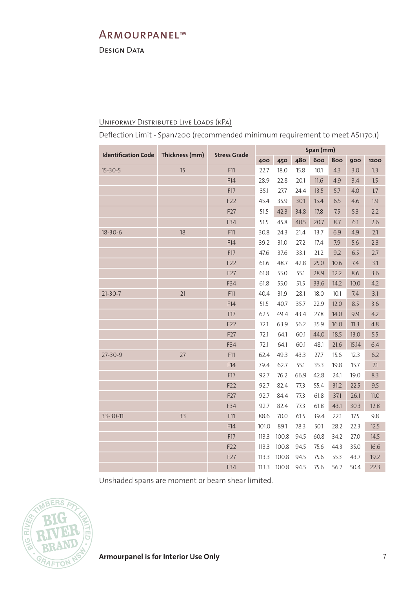DESIGN DATA

## Uniformly Distributed Live Loads (kPa)

Deflection Limit - Span/200 (recommended minimum requirement to meet AS1170.1)

|                            |                |                     | Span (mm) |       |      |      |      |       |      |
|----------------------------|----------------|---------------------|-----------|-------|------|------|------|-------|------|
| <b>Identification Code</b> | Thickness (mm) | <b>Stress Grade</b> | 400       | 450   | 480  | 600  | 800  | 900   | 1200 |
| $15 - 30 - 5$              | 15             | F11                 | 22.7      | 18.0  | 15.8 | 10.1 | 4.3  | 3.0   | 1.3  |
|                            |                | F14                 | 28.9      | 22.8  | 20.1 | 11.6 | 4.9  | 3.4   | 1.5  |
|                            |                | F17                 | 35.1      | 27.7  | 24.4 | 13.5 | 5.7  | 4.0   | 1.7  |
|                            |                | F22                 | 45.4      | 35.9  | 30.1 | 15.4 | 6.5  | 4.6   | 1.9  |
|                            |                | F27                 | 51.5      | 42.3  | 34.8 | 17.8 | 7.5  | 5.3   | 2.2  |
|                            |                | F34                 | 51.5      | 45.8  | 40.5 | 20.7 | 8.7  | 6.1   | 2.6  |
| $18 - 30 - 6$              | 18             | F11                 | 30.8      | 24.3  | 21.4 | 13.7 | 6.9  | 4.9   | 2.1  |
|                            |                | F14                 | 39.2      | 31.0  | 27.2 | 17.4 | 7.9  | 5.6   | 2.3  |
|                            |                | F17                 | 47.6      | 37.6  | 33.1 | 21.2 | 9.2  | 6.5   | 2.7  |
|                            |                | F22                 | 61.6      | 48.7  | 42.8 | 25.0 | 10.6 | 7.4   | 3.1  |
|                            |                | F27                 | 61.8      | 55.0  | 55.1 | 28.9 | 12.2 | 8.6   | 3.6  |
|                            |                | F34                 | 61.8      | 55.0  | 51.5 | 33.6 | 14.2 | 10.0  | 4.2  |
| $21 - 30 - 7$              | 21             | F11                 | 40.4      | 31.9  | 28.1 | 18.0 | 10.1 | 7.4   | 3.1  |
|                            |                | F14                 | 51.5      | 40.7  | 35.7 | 22.9 | 12.0 | 8.5   | 3.6  |
|                            |                | F17                 | 62.5      | 49.4  | 43.4 | 27.8 | 14.0 | 9.9   | 4.2  |
|                            |                | F22                 | 72.1      | 63.9  | 56.2 | 35.9 | 16.0 | 11.3  | 4.8  |
|                            |                | F27                 | 72.1      | 64.1  | 60.1 | 44.0 | 18.5 | 13.0  | 5.5  |
|                            |                | F34                 | 72.1      | 64.1  | 60.1 | 48.1 | 21.6 | 15.14 | 6.4  |
| $27 - 30 - 9$              | 27             | F11                 | 62.4      | 49.3  | 43.3 | 27.7 | 15.6 | 12.3  | 6.2  |
|                            |                | F14                 | 79.4      | 62.7  | 55.1 | 35.3 | 19.8 | 15.7  | 7.1  |
|                            |                | F17                 | 92.7      | 76.2  | 66.9 | 42.8 | 24.1 | 19.0  | 8.3  |
|                            |                | F22                 | 92.7      | 82.4  | 77.3 | 55.4 | 31.2 | 22.5  | 9.5  |
|                            |                | F27                 | 92.7      | 84.4  | 77.3 | 61.8 | 37.1 | 26.1  | 11.0 |
|                            |                | F34                 | 92.7      | 82.4  | 77.3 | 61.8 | 43.1 | 30.3  | 12.8 |
| 33-30-11                   | 33             | F11                 | 88.6      | 70.0  | 61.5 | 39.4 | 22.1 | 17.5  | 9.8  |
|                            |                | F14                 | 101.0     | 89.1  | 78.3 | 50.1 | 28.2 | 22.3  | 12.5 |
|                            |                | F17                 | 113.3     | 100.8 | 94.5 | 60.8 | 34.2 | 27.0  | 14.5 |
|                            |                | F22                 | 113.3     | 100.8 | 94.5 | 75.6 | 44.3 | 35.0  | 16.6 |
|                            |                | F27                 | 113.3     | 100.8 | 94.5 | 75.6 | 55.3 | 43.7  | 19.2 |
|                            |                | F34                 | 113.3     | 100.8 | 94.5 | 75.6 | 56.7 | 50.4  | 22.3 |

Unshaded spans are moment or beam shear limited.

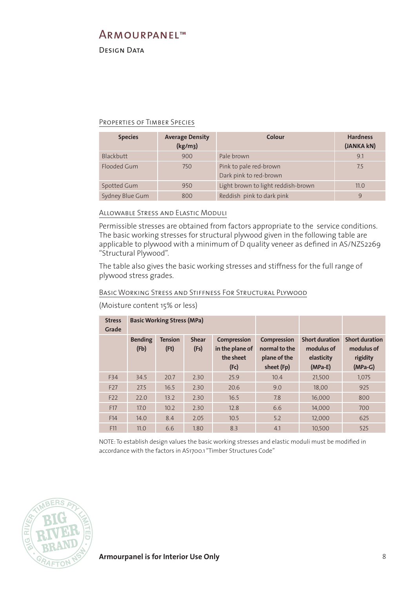DESIGN DATA

#### Properties of Timber Species

| <b>Species</b>  | <b>Average Density</b><br>(kg/m <sub>3</sub> ) | Colour                                           | <b>Hardness</b><br>(JANKA kN) |
|-----------------|------------------------------------------------|--------------------------------------------------|-------------------------------|
| Blackbutt       | 900                                            | Pale brown                                       | 9.1                           |
| Flooded Gum     | 750                                            | Pink to pale red-brown<br>Dark pink to red-brown | 7.5                           |
| Spotted Gum     | 950                                            | Light brown to light reddish-brown               | 11.0                          |
| Sydney Blue Gum | 800                                            | Reddish pink to dark pink                        | 9                             |

## Allowable Stress and Elastic Moduli

Permissible stresses are obtained from factors appropriate to the service conditions. The basic working stresses for structural plywood given in the following table are applicable to plywood with a minimum of D quality veneer as defined in AS/NZS2269 "Structural Plywood".

The table also gives the basic working stresses and stiffness for the full range of plywood stress grades.

## Basic Working Stress and Stiffness For Structural Plywood

| <b>Stress</b><br>Grade | <b>Basic Working Stress (MPa)</b> |                        |                      |                                                            |                                                                   |                                                                |                                                              |
|------------------------|-----------------------------------|------------------------|----------------------|------------------------------------------------------------|-------------------------------------------------------------------|----------------------------------------------------------------|--------------------------------------------------------------|
|                        | <b>Bending</b><br>(Fb)            | <b>Tension</b><br>(Ft) | <b>Shear</b><br>(Fs) | <b>Compression</b><br>in the plane of<br>the sheet<br>(Fc) | <b>Compression</b><br>normal to the<br>plane of the<br>sheet (Fp) | <b>Short duration</b><br>modulus of<br>elasticity<br>$(MPa-E)$ | <b>Short duration</b><br>modulus of<br>rigidity<br>$(MPa-G)$ |
| F34                    | 34.5                              | 20.7                   | 2.30                 | 25.9                                                       | 10.4                                                              | 21,500                                                         | 1,075                                                        |
| F <sub>27</sub>        | 27.5                              | 16.5                   | 2.30                 | 20.6                                                       | 9.0                                                               | 18.00                                                          | 925                                                          |
| F <sub>22</sub>        | 22.0                              | 13.2                   | 2.30                 | 16.5                                                       | 7.8                                                               | 16,000                                                         | 800                                                          |
| F17                    | 17.0                              | 10.2                   | 2.30                 | 12.8                                                       | 6.6                                                               | 14.000                                                         | 700                                                          |
| F14                    | 14.0                              | 8.4                    | 2.05                 | 10.5                                                       | 5.2                                                               | 12,000                                                         | 625                                                          |
| F11                    | 11.0                              | 6.6                    | 1.80                 | 8.3                                                        | 4.1                                                               | 10,500                                                         | 525                                                          |

(Moisture content 15% or less)

NOTE: To establish design values the basic working stresses and elastic moduli must be modified in accordance with the factors in AS1700.1 "Timber Structures Code"

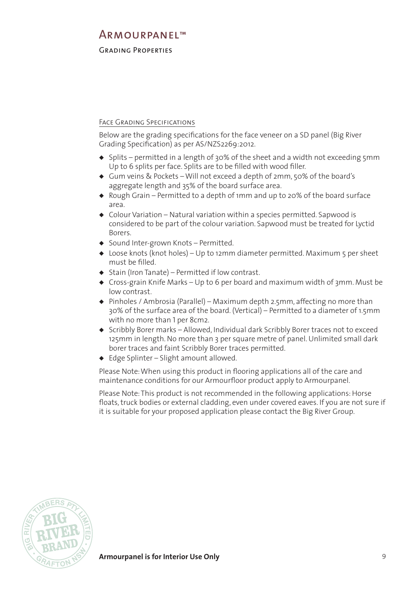## <span id="page-8-0"></span>Grading Properties

## FACE GRADING SPECIFICATIONS

Below are the grading specifications for the face veneer on a SD panel (Big River Grading Specification) as per AS/NZS2269:2012.

- ◆ Splits permitted in a length of 30% of the sheet and a width not exceeding 5mm Up to 6 splits per face. Splits are to be filled with wood filler.
- ◆ Gum veins & Pockets Will not exceed a depth of 2mm, 50% of the board's aggregate length and 35% of the board surface area.
- ◆ Rough Grain Permitted to a depth of 1mm and up to 20% of the board surface area.
- ◆ Colour Variation Natural variation within a species permitted. Sapwood is considered to be part of the colour variation. Sapwood must be treated for Lyctid Borers.
- ◆ Sound Inter-grown Knots Permitted.
- ◆ Loose knots (knot holes) Up to 12mm diameter permitted. Maximum 5 per sheet must be filled.
- ◆ Stain (Iron Tanate) Permitted if low contrast.
- ◆ Cross-grain Knife Marks Up to 6 per board and maximum width of 3mm. Must be low contrast.
- ◆ Pinholes / Ambrosia (Parallel) Maximum depth 2.5mm, affecting no more than 30% of the surface area of the board. (Vertical) – Permitted to a diameter of 1.5mm with no more than 1 per 8cm2.
- ◆ Scribbly Borer marks Allowed, Individual dark Scribbly Borer traces not to exceed 125mm in length. No more than 3 per square metre of panel. Unlimited small dark borer traces and faint Scribbly Borer traces permitted.
- ◆ Edge Splinter Slight amount allowed.

Please Note: When using this product in flooring applications all of the care and maintenance conditions for our Armourfloor product apply to Armourpanel.

Please Note: This product is not recommended in the following applications: Horse floats, truck bodies or external cladding, even under covered eaves. If you are not sure if it is suitable for your proposed application please contact the Big River Group.

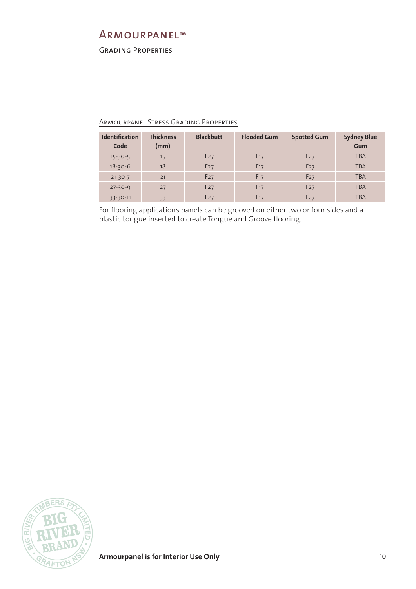Grading Properties

## Armourpanel Stress Grading Properties

| <b>Identification</b><br>Code | <b>Thickness</b><br>(mm) | <b>Blackbutt</b> | <b>Flooded Gum</b> | <b>Spotted Gum</b> | <b>Sydney Blue</b><br>Gum |
|-------------------------------|--------------------------|------------------|--------------------|--------------------|---------------------------|
| $15 - 30 - 5$                 | 15                       | F <sub>27</sub>  | F <sub>17</sub>    | F <sub>27</sub>    | <b>TBA</b>                |
| $18 - 30 - 6$                 | 18                       | F27              | F <sub>17</sub>    | F27                | <b>TBA</b>                |
| $21 - 30 - 7$                 | 21                       | F <sub>27</sub>  | F <sub>17</sub>    | F <sub>27</sub>    | <b>TBA</b>                |
| $27 - 30 - 9$                 | 27                       | F <sub>27</sub>  | F <sub>17</sub>    | F <sub>27</sub>    | <b>TBA</b>                |
| $33 - 30 - 11$                | 33                       | F <sub>27</sub>  | F <sub>17</sub>    | F <sub>27</sub>    | <b>TBA</b>                |

For flooring applications panels can be grooved on either two or four sides and a plastic tongue inserted to create Tongue and Groove flooring.

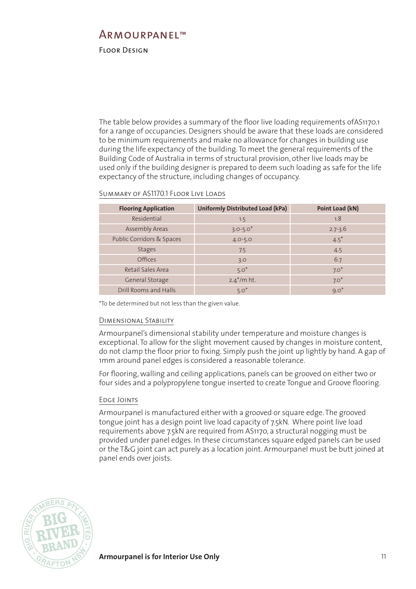## <span id="page-10-0"></span>Floor Design

The table below provides a summary of the floor live loading requirements ofAS1170.1 for a range of occupancies. Designers should be aware that these loads are considered to be minimum requirements and make no allowance for changes in building use during the life expectancy of the building. To meet the general requirements of the Building Code of Australia in terms of structural provision, other live loads may be used only if the building designer is prepared to deem such loading as safe for the life expectancy of the structure, including changes of occupancy.

| <b>Flooring Application</b> | <b>Uniformly Distributed Load (kPa)</b> | Point Load (kN) |
|-----------------------------|-----------------------------------------|-----------------|
| Residential                 | 1.5                                     | 1.8             |
| <b>Assembly Areas</b>       | $3.0 - 5.0$ <sup>*</sup>                | $2.7 - 3.6$     |
| Public Corridors & Spaces   | $4.0 - 5.0$                             | $4.5*$          |
| <b>Stages</b>               | 7.5                                     | 4.5             |
| Offices                     | 3.0                                     | 6.7             |
| Retail Sales Area           | $5.0*$                                  | $7.0*$          |
| General Storage             | $2.4^{\ast}/m$ ht.                      | $7.0*$          |
| Drill Rooms and Halls       | $5.0*$                                  | $9.0*$          |

#### SUMMARY OF AS1170.1 FLOOR LIVE LOADS

\*To be determined but not less than the given value.

#### Dimensional Stability

Armourpanel's dimensional stability under temperature and moisture changes is exceptional. To allow for the slight movement caused by changes in moisture content, do not clamp the floor prior to fixing. Simply push the joint up lightly by hand. A gap of 1mm around panel edges is considered a reasonable tolerance.

For flooring, walling and ceiling applications, panels can be grooved on either two or four sides and a polypropylene tongue inserted to create Tongue and Groove flooring.

#### Edge Joints

Armourpanel is manufactured either with a grooved or square edge. The grooved tongue joint has a design point live load capacity of 7.5kN. Where point live load requirements above 7.5kN are required from AS1170, a structural nogging must be provided under panel edges. In these circumstances square edged panels can be used or the T&G joint can act purely as a location joint. Armourpanel must be butt joined at panel ends over joists.

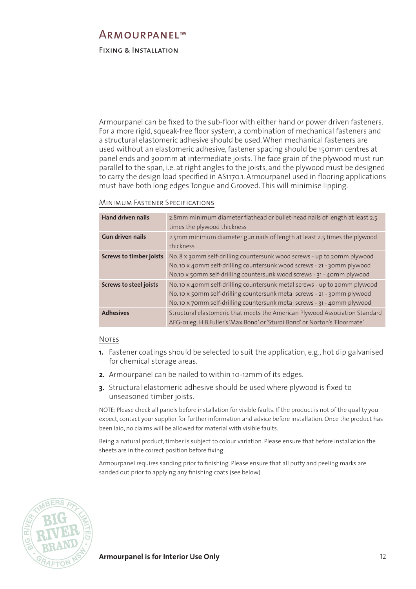## <span id="page-11-0"></span>Fixing & Installation

Armourpanel can be fixed to the sub-floor with either hand or power driven fasteners. For a more rigid, squeak-free floor system, a combination of mechanical fasteners and a structural elastomeric adhesive should be used. When mechanical fasteners are used without an elastomeric adhesive, fastener spacing should be 150mm centres at panel ends and 300mm at intermediate joists. The face grain of the plywood must run parallel to the span, i.e. at right angles to the joists, and the plywood must be designed to carry the design load specified in AS1170.1. Armourpanel used in flooring applications must have both long edges Tongue and Grooved. This will minimise lipping.

#### Minimum Fastener Specif ications

| <b>Hand driven nails</b>       | 2.8mm minimum diameter flathead or bullet-head nails of length at least 2.5<br>times the plywood thickness                                                                                                                        |
|--------------------------------|-----------------------------------------------------------------------------------------------------------------------------------------------------------------------------------------------------------------------------------|
| <b>Gun driven nails</b>        | 2.5mm minimum diameter gun nails of length at least 2.5 times the plywood<br>thickness                                                                                                                                            |
| <b>Screws to timber joists</b> | No. 8 x 30mm self-drilling countersunk wood screws - up to 20mm plywood<br>No. 10 x 40mm self-drilling countersunk wood screws - 21 - 30mm plywood<br>No.10 x 50mm self-drilling countersunk wood screws - 31 - 40mm plywood      |
| <b>Screws to steel joists</b>  | No. 10 x 40mm self-drilling countersunk metal screws - up to 20mm plywood<br>No. 10 x 50mm self-drilling countersunk metal screws - 21 - 30mm plywood<br>No. 10 x 70mm self-drilling countersunk metal screws - 31 - 40mm plywood |
| <b>Adhesives</b>               | Structural elastomeric that meets the American Plywood Association Standard<br>AFG-01 eg. H.B.Fuller's 'Max Bond' or 'Sturdi Bond' or Norton's 'Floormate'                                                                        |

#### Notes

- **1.** Fastener coatings should be selected to suit the application, e.g., hot dip galvanised for chemical storage areas.
- **2.** Armourpanel can be nailed to within 10-12mm of its edges.
- **3.** Structural elastomeric adhesive should be used where plywood is fixed to unseasoned timber joists.

NOTE: Please check all panels before installation for visible faults. If the product is not of the quality you expect, contact your supplier for further information and advice before installation. Once the product has been laid, no claims will be allowed for material with visible faults.

Being a natural product, timber is subject to colour variation. Please ensure that before installation the sheets are in the correct position before fixing.

Armourpanel requires sanding prior to finishing. Please ensure that all putty and peeling marks are sanded out prior to applying any finishing coats (see below).



**Armourpanel is for Interior Use Only 12** 12